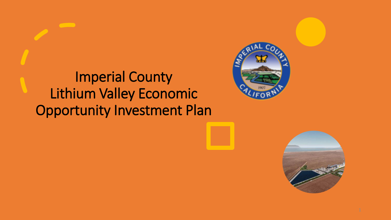### Imperial County Lithium Valley Economic Opportunity Investment Plan



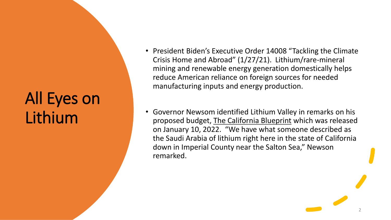# All Eyes on Lithium

- President Biden's Executive Order 14008 "Tackling the Climate Crisis Home and Abroad" (1/27/21). Lithium/rare-mineral mining and renewable energy generation domestically helps reduce American reliance on foreign sources for needed manufacturing inputs and energy production.
- Governor Newsom identified Lithium Valley in remarks on his proposed budget, The California Blueprint which was released on January 10, 2022. "We have what someone described as the Saudi Arabia of lithium right here in the state of California down in Imperial County near the Salton Sea," Newson remarked.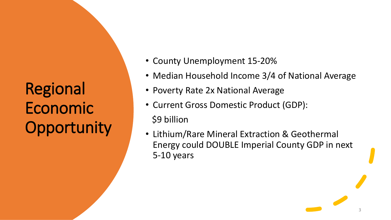Regional Economic **Opportunity** 

- County Unemployment 15-20%
- Median Household Income 3/4 of National Average
- Poverty Rate 2x National Average
- Current Gross Domestic Product (GDP): \$9 billion
- Lithium/Rare Mineral Extraction & Geothermal Energy could DOUBLE Imperial County GDP in next 5-10 years

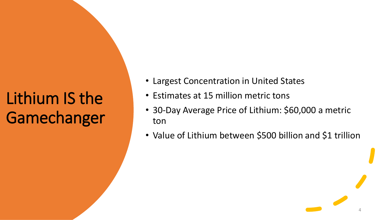# Lithium IS the **Gamechanger**

- Largest Concentration in United States
- Estimates at 15 million metric tons
- 30-Day Average Price of Lithium: \$60,000 a metric ton
- Value of Lithium between \$500 billion and \$1 trillion

4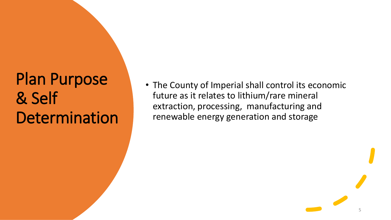## Plan Purpose & Self **Determination**

• The County of Imperial shall control its economic future as it relates to lithium/rare mineral extraction, processing, manufacturing and renewable energy generation and storage

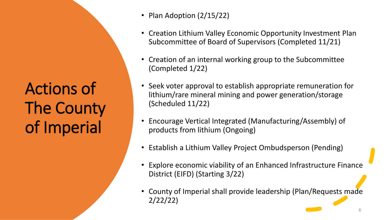Actions of The County of Imperial

- Plan Adoption (2/15/22)
- Creation Lithium Valley Economic Opportunity Investment Plan Subcommittee of Board of Supervisors (Completed 11/21)
- Creation of an internal working group to the Subcommittee (Completed 1/22)
- Seek voter approval to establish appropriate remuneration for lithium/rare mineral mining and power generation/storage (Scheduled 11/22)
- Encourage Vertical Integrated (Manufacturing/Assembly) of products from lithium (Ongoing)
- Establish a Lithium Valley Project Ombudsperson (Pending)
- Explore economic viability of an Enhanced Infrastructure Finance District (EIFD) (Starting 3/22)
- County of Imperial shall provide leadership (Plan/Requests made 2/22/22)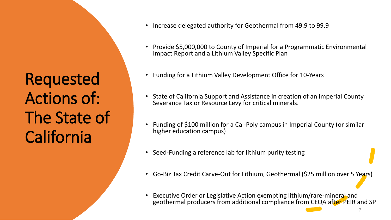Requested Actions of: The State of California

- Increase delegated authority for Geothermal from 49.9 to 99.9
- Provide \$5,000,000 to County of Imperial for a Programmatic Environmental Impact Report and a Lithium Valley Specific Plan
- Funding for a Lithium Valley Development Office for 10-Years
- State of California Support and Assistance in creation of an Imperial County Severance Tax or Resource Levy for critical minerals.
- Funding of \$100 million for a Cal-Poly campus in Imperial County (or similar higher education campus)
- Seed-Funding a reference lab for lithium purity testing
- Go-Biz Tax Credit Carve-Out for Lithium, Geothermal (\$25 million over 5 Years)
- Executive Order or Legislative Action exempting lithium/rare-mineral and geothermal producers from additional compliance from CEQA after PEIR and SP

7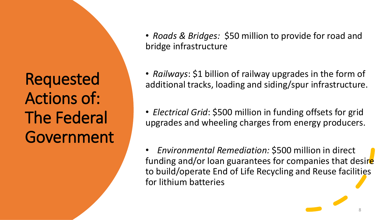Requested Actions of: The Federal Government • *Roads & Bridges:* \$50 million to provide for road and bridge infrastructure

• *Railways*: \$1 billion of railway upgrades in the form of additional tracks, loading and siding/spur infrastructure.

• *Electrical Grid*: \$500 million in funding offsets for grid upgrades and wheeling charges from energy producers.

• *Environmental Remediation:* \$500 million in direct funding and/or loan guarantees for companies that desire to build/operate End of Life Recycling and Reuse facilities for lithium batteries